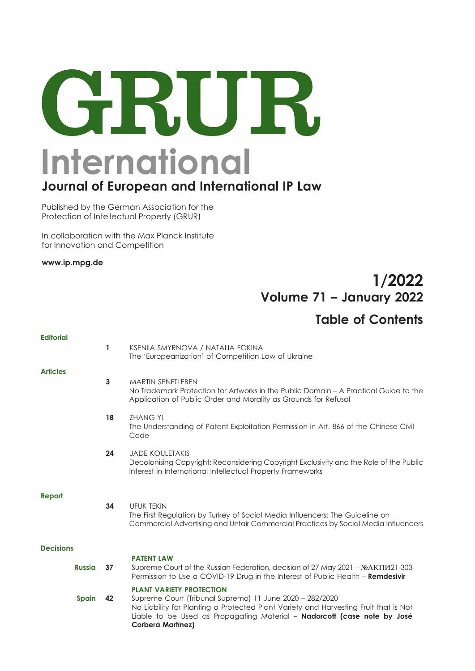# GRUR. **International**

## **Journal of European and International IP Law**

Published by the German Association for the Protection of Intellectual Property (GRUR)

In collaboration with the Max Planck Institute for Innovation and Competition

**www.ip.mpg.de** 

## 1/2022 Volume 71 – January 2022

### Table of Contents

| <b>Editorial</b> |    |                                                                                                                                                                                                                                                                                      |
|------------------|----|--------------------------------------------------------------------------------------------------------------------------------------------------------------------------------------------------------------------------------------------------------------------------------------|
|                  | 1  | KSENIIA SMYRNOVA / NATALIA FOKINA<br>The 'Europeanization' of Competition Law of Ukraine                                                                                                                                                                                             |
| <b>Articles</b>  |    |                                                                                                                                                                                                                                                                                      |
|                  | 3  | <b>MARTIN SENFTLEBEN</b><br>No Trademark Protection for Artworks in the Public Domain – A Practical Guide to the<br>Application of Public Order and Morality as Grounds for Refusal                                                                                                  |
|                  | 18 | <b>ZHANG YI</b><br>The Understanding of Patent Exploitation Permission in Art. 866 of the Chinese Civil<br>Code                                                                                                                                                                      |
|                  | 24 | <b>JADE KOULETAKIS</b><br>Decolonising Copyright: Reconsidering Copyright Exclusivity and the Role of the Public<br>Interest in International Intellectual Property Frameworks                                                                                                       |
| Report           | 34 | <b>UFUK TEKIN</b><br>The First Regulation by Turkey of Social Media Influencers: The Guideline on<br>Commercial Advertising and Unfair Commercial Practices by Social Media Influencers                                                                                              |
| <b>Decisions</b> |    |                                                                                                                                                                                                                                                                                      |
| <b>Russia</b>    | 37 | <b>PATENT LAW</b><br>Supreme Court of the Russian Federation, decision of 27 May 2021 - № AKIIU21-303<br>Permission to Use a COVID-19 Drug in the Interest of Public Health - Remdesivir                                                                                             |
| Spain            | 42 | <b>PLANT VARIETY PROTECTION</b><br>Supreme Court (Tribunal Supremo) 11 June 2020 - 282/2020<br>No Liability for Planting a Protected Plant Variety and Harvesting Fruit that is Not<br>Liable to be Used as Propagating Material - Nadorcott (case note by José<br>Corberá Martínez) |